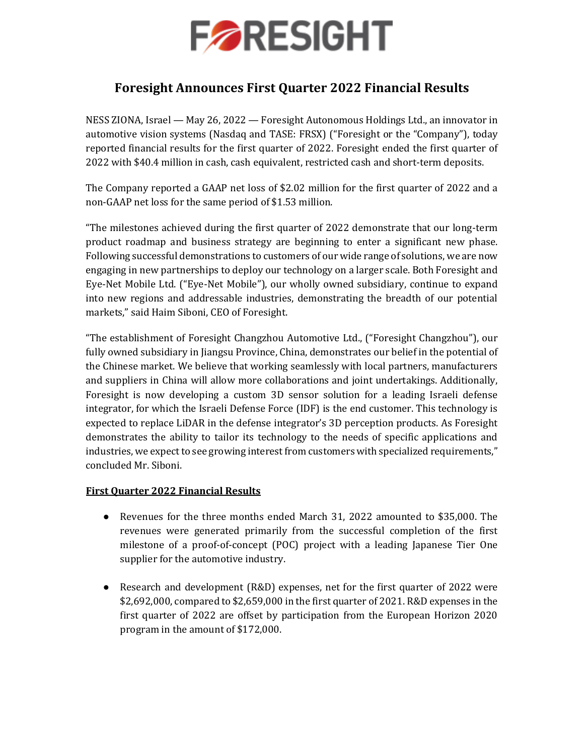

## **Foresight Announces First Quarter 2022 Financial Results**

NESS ZIONA, Israel — May 26, 2022 — Foresight Autonomous Holdings Ltd., an innovator in automotive vision systems (Nasdaq and TASE: FRSX) ("Foresight or the "Company"), today reported financial results for the first quarter of 2022. Foresight ended the first quarter of 2022 with \$40.4 million in cash, cash equivalent, restricted cash and short-term deposits.

The Company reported a GAAP net loss of \$2.02 million for the first quarter of 2022 and a non-GAAP net loss for the same period of \$1.53 million.

"The milestones achieved during the first quarter of 2022 demonstrate that our long-term product roadmap and business strategy are beginning to enter a significant new phase. Following successful demonstrations to customers of our wide range of solutions, we are now engaging in new partnerships to deploy our technology on a larger scale. Both Foresight and Eye-Net Mobile Ltd. ("Eye-Net Mobile"), our wholly owned subsidiary, continue to expand into new regions and addressable industries, demonstrating the breadth of our potential markets," said Haim Siboni, CEO of Foresight.

"The establishment of Foresight Changzhou Automotive Ltd., ("Foresight Changzhou"), our fully owned subsidiary in Jiangsu Province, China, demonstrates our belief in the potential of the Chinese market. We believe that working seamlessly with local partners, manufacturers and suppliers in China will allow more collaborations and joint undertakings. Additionally, Foresight is now developing a custom 3D sensor solution for a leading Israeli defense integrator, for which the Israeli Defense Force (IDF) is the end customer. This technology is expected to replace LiDAR in the defense integrator's 3D perception products. As Foresight demonstrates the ability to tailor its technology to the needs of specific applications and industries, we expect to see growing interest from customers with specialized requirements," concluded Mr. Siboni.

### **First Quarter 2022 Financial Results**

- Revenues for the three months ended March 31, 2022 amounted to \$35,000. The revenues were generated primarily from the successful completion of the first milestone of a proof-of-concept (POC) project with a leading Japanese Tier One supplier for the automotive industry.
- Research and development (R&D) expenses, net for the first quarter of 2022 were \$2,692,000, compared to \$2,659,000 in the first quarter of 2021. R&D expenses in the first quarter of 2022 are offset by participation from the European Horizon 2020 program in the amount of \$172,000.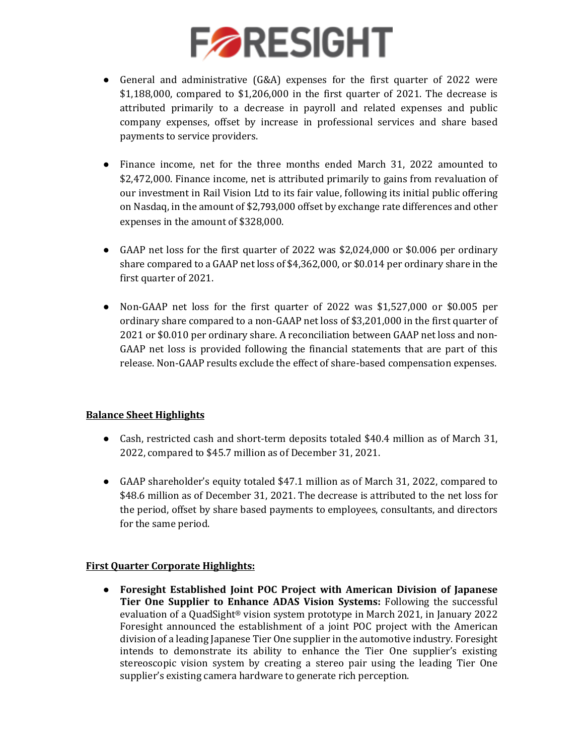# **FARESIGHT**

- General and administrative (G&A) expenses for the first quarter of 2022 were \$1,188,000, compared to \$1,206,000 in the first quarter of 2021. The decrease is attributed primarily to a decrease in payroll and related expenses and public company expenses, offset by increase in professional services and share based payments to service providers.
- Finance income, net for the three months ended March 31, 2022 amounted to \$2,472,000. Finance income, net is attributed primarily to gains from revaluation of our investment in Rail Vision Ltd to its fair value, following its initial public offering on Nasdaq, in the amount of \$2,793,000 offset by exchange rate differences and other expenses in the amount of \$328,000.
- GAAP net loss for the first quarter of 2022 was \$2,024,000 or \$0.006 per ordinary share compared to a GAAP net loss of \$4,362,000, or \$0.014 per ordinary share in the first quarter of 2021.
- Non-GAAP net loss for the first quarter of 2022 was \$1,527,000 or \$0.005 per ordinary share compared to a non-GAAP net loss of \$3,201,000 in the first quarter of 2021 or \$0.010 per ordinary share. A reconciliation between GAAP net loss and non-GAAP net loss is provided following the financial statements that are part of this release. Non-GAAP results exclude the effect of share-based compensation expenses.

### **Balance Sheet Highlights**

- Cash, restricted cash and short-term deposits totaled \$40.4 million as of March 31, 2022, compared to \$45.7 million as of December 31, 2021.
- GAAP shareholder's equity totaled \$47.1 million as of March 31, 2022, compared to \$48.6 million as of December 31, 2021. The decrease is attributed to the net loss for the period, offset by share based payments to employees, consultants, and directors for the same period.

### **First Quarter Corporate Highlights:**

● **Foresight Established Joint POC Project with American Division of Japanese Tier One Supplier to Enhance ADAS Vision Systems:** Following the successful evaluation of a QuadSight® vision system prototype in March 2021, in January 2022 Foresight announced the establishment of a joint POC project with the American division of a leading Japanese Tier One supplier in the automotive industry. Foresight intends to demonstrate its ability to enhance the Tier One supplier's existing stereoscopic vision system by creating a stereo pair using the leading Tier One supplier's existing camera hardware to generate rich perception.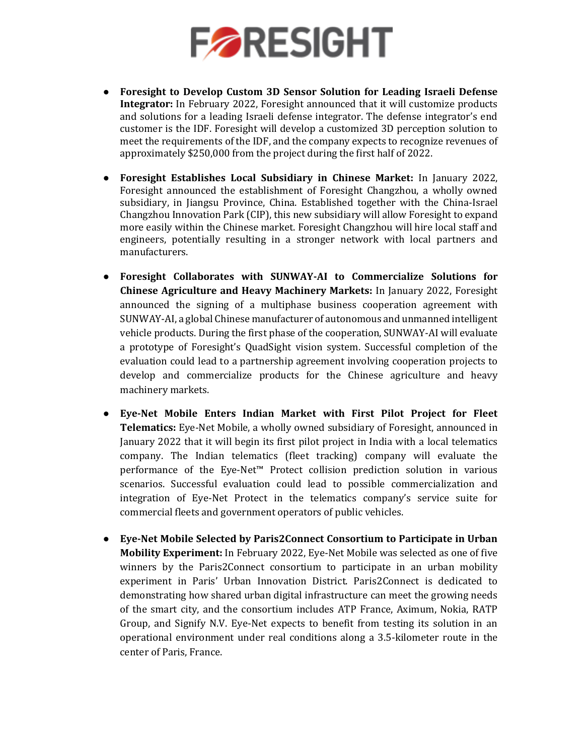

- **Foresight to Develop Custom 3D Sensor Solution for Leading Israeli Defense Integrator:** In February 2022, Foresight announced that it will customize products and solutions for a leading Israeli defense integrator. The defense integrator's end customer is the IDF. Foresight will develop a customized 3D perception solution to meet the requirements of the IDF, and the company expects to recognize revenues of approximately \$250,000 from the project during the first half of 2022.
- **Foresight Establishes Local Subsidiary in Chinese Market:** In January 2022, Foresight announced the establishment of Foresight Changzhou, a wholly owned subsidiary, in Jiangsu Province, China. Established together with the China-Israel Changzhou Innovation Park (CIP), this new subsidiary will allow Foresight to expand more easily within the Chinese market. Foresight Changzhou will hire local staff and engineers, potentially resulting in a stronger network with local partners and manufacturers.
- **Foresight Collaborates with SUNWAY-AI to Commercialize Solutions for Chinese Agriculture and Heavy Machinery Markets:** In January 2022, Foresight announced the signing of a multiphase business cooperation agreement with SUNWAY-AI, a global Chinese manufacturer of autonomous and unmanned intelligent vehicle products. During the first phase of the cooperation, SUNWAY-AI will evaluate a prototype of Foresight's QuadSight vision system. Successful completion of the evaluation could lead to a partnership agreement involving cooperation projects to develop and commercialize products for the Chinese agriculture and heavy machinery markets.
- **Eye-Net Mobile Enters Indian Market with First Pilot Project for Fleet Telematics:** Eye-Net Mobile, a wholly owned subsidiary of Foresight, announced in January 2022 that it will begin its first pilot project in India with a local telematics company. The Indian telematics (fleet tracking) company will evaluate the performance of the Eye-Net™ Protect collision prediction solution in various scenarios. Successful evaluation could lead to possible commercialization and integration of Eye-Net Protect in the telematics company's service suite for commercial fleets and government operators of public vehicles.
- **Eye-Net Mobile Selected by Paris2Connect Consortium to Participate in Urban Mobility Experiment:** In February 2022, Eye-Net Mobile was selected as one of five winners by the Paris2Connect consortium to participate in an urban mobility experiment in Paris' Urban Innovation District. Paris2Connect is dedicated to demonstrating how shared urban digital infrastructure can meet the growing needs of the smart city, and the consortium includes ATP France, Aximum, Nokia, RATP Group, and Signify N.V. Eye-Net expects to benefit from testing its solution in an operational environment under real conditions along a 3.5-kilometer route in the center of Paris, France.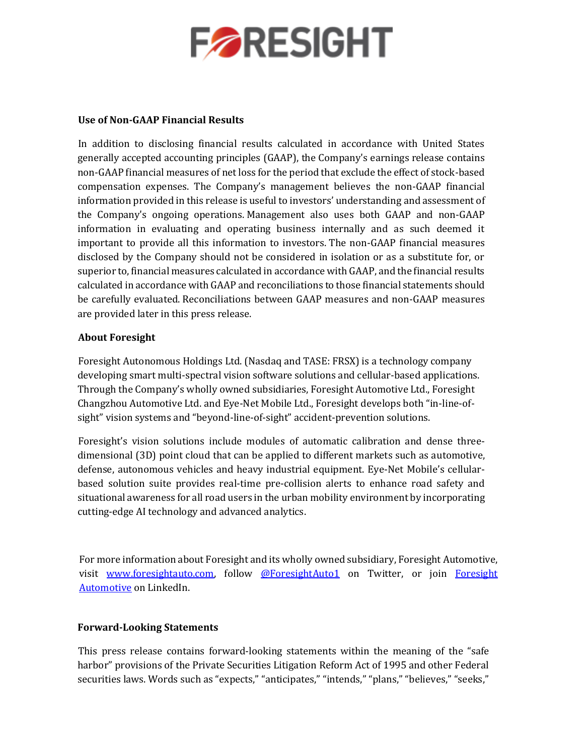

### **Use of Non-GAAP Financial Results**

In addition to disclosing financial results calculated in accordance with United States generally accepted accounting principles (GAAP), the Company's earnings release contains non-GAAP financial measures of net loss for the period that exclude the effect of stock-based compensation expenses. The Company's management believes the non-GAAP financial information provided in this release is useful to investors' understanding and assessment of the Company's ongoing operations. Management also uses both GAAP and non-GAAP information in evaluating and operating business internally and as such deemed it important to provide all this information to investors. The non-GAAP financial measures disclosed by the Company should not be considered in isolation or as a substitute for, or superior to, financial measures calculated in accordance with GAAP, and the financial results calculated in accordance with GAAP and reconciliations to those financial statements should be carefully evaluated. Reconciliations between GAAP measures and non-GAAP measures are provided later in this press release.

### **About Foresight**

Foresight Autonomous Holdings Ltd. (Nasdaq and TASE: FRSX) is a technology company developing smart multi-spectral vision software solutions and cellular-based applications. Through the Company's wholly owned subsidiaries, Foresight Automotive Ltd., Foresight Changzhou Automotive Ltd. and Eye-Net Mobile Ltd., Foresight develops both "in-line-ofsight" vision systems and "beyond-line-of-sight" accident-prevention solutions.

Foresight's vision solutions include modules of automatic calibration and dense threedimensional (3D) point cloud that can be applied to different markets such as automotive, defense, autonomous vehicles and heavy industrial equipment. Eye-Net Mobile's cellularbased solution suite provides real-time pre-collision alerts to enhance road safety and situational awareness for all road users in the urban mobility environment by incorporating cutting-edge AI technology and advanced analytics.

For more information about Foresight and its wholly owned subsidiary, Foresight Automotive, visit [www.foresightauto.com,](about:blank) follow [@ForesightAuto1](https://twitter.com/ForesightAuto1) on Twitter, or join Foresight [Automotive](https://www.linkedin.com/company/foresight-automotive/) on LinkedIn.

### **Forward-Looking Statements**

This press release contains forward-looking statements within the meaning of the "safe harbor" provisions of the Private Securities Litigation Reform Act of 1995 and other Federal securities laws. Words such as "expects," "anticipates," "intends," "plans," "believes," "seeks,"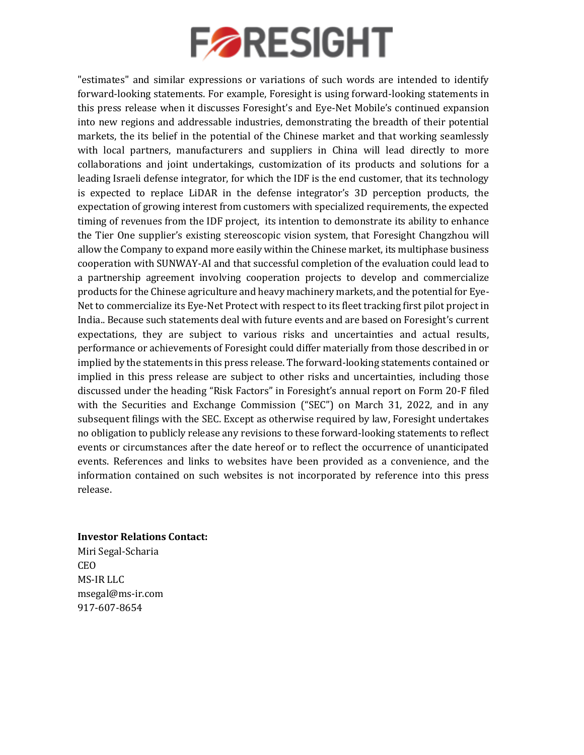# **FORESIGHT**

"estimates" and similar expressions or variations of such words are intended to identify forward-looking statements. For example, Foresight is using forward-looking statements in this press release when it discusses Foresight's and Eye-Net Mobile's continued expansion into new regions and addressable industries, demonstrating the breadth of their potential markets, the its belief in the potential of the Chinese market and that working seamlessly with local partners, manufacturers and suppliers in China will lead directly to more collaborations and joint undertakings, customization of its products and solutions for a leading Israeli defense integrator, for which the IDF is the end customer, that its technology is expected to replace LiDAR in the defense integrator's 3D perception products, the expectation of growing interest from customers with specialized requirements, the expected timing of revenues from the IDF project, its intention to demonstrate its ability to enhance the Tier One supplier's existing stereoscopic vision system, that Foresight Changzhou will allow the Company to expand more easily within the Chinese market, its multiphase business cooperation with SUNWAY-AI and that successful completion of the evaluation could lead to a partnership agreement involving cooperation projects to develop and commercialize products for the Chinese agriculture and heavy machinery markets, and the potential for Eye-Net to commercialize its Eye-Net Protect with respect to its fleet tracking first pilot project in India.. Because such statements deal with future events and are based on Foresight's current expectations, they are subject to various risks and uncertainties and actual results, performance or achievements of Foresight could differ materially from those described in or implied by the statements in this press release. The forward-looking statements contained or implied in this press release are subject to other risks and uncertainties, including those discussed under the heading "Risk Factors" in Foresight's annual report on Form 20-F filed with the Securities and Exchange Commission ("SEC") on March 31, 2022, and in any subsequent filings with the SEC. Except as otherwise required by law, Foresight undertakes no obligation to publicly release any revisions to these forward-looking statements to reflect events or circumstances after the date hereof or to reflect the occurrence of unanticipated events. References and links to websites have been provided as a convenience, and the information contained on such websites is not incorporated by reference into this press release.

### **Investor Relations Contact:**

Miri Segal-Scharia CEO MS-IR LLC msegal@ms-ir.com 917-607-8654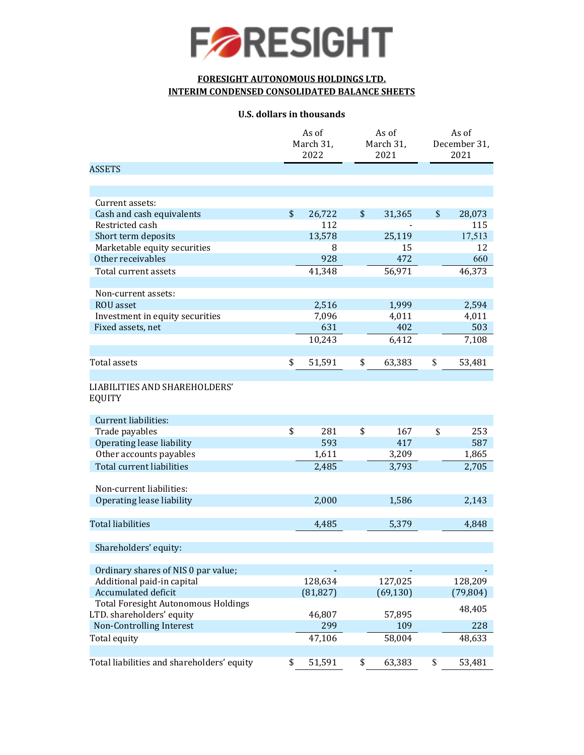

### **FORESIGHT AUTONOMOUS HOLDINGS LTD. INTERIM CONDENSED CONSOLIDATED BALANCE SHEETS**

#### **U.S. dollars in thousands**

|                                                       | As of<br>March 31,<br>2022 | As of<br>March 31,<br>2021 |           | As of<br>December 31,<br>2021 |           |
|-------------------------------------------------------|----------------------------|----------------------------|-----------|-------------------------------|-----------|
| <b>ASSETS</b>                                         |                            |                            |           |                               |           |
|                                                       |                            |                            |           |                               |           |
|                                                       |                            |                            |           |                               |           |
| Current assets:<br>Cash and cash equivalents          | \$<br>26,722               | \$                         | 31,365    | \$                            | 28,073    |
| Restricted cash                                       | 112                        |                            |           |                               | 115       |
| Short term deposits                                   | 13,578                     |                            | 25,119    |                               | 17,513    |
| Marketable equity securities                          | 8                          |                            | 15        |                               | 12        |
| Other receivables                                     | 928                        |                            | 472       |                               | 660       |
|                                                       |                            |                            |           |                               |           |
| Total current assets                                  | 41,348                     |                            | 56,971    |                               | 46,373    |
| Non-current assets:                                   |                            |                            |           |                               |           |
| <b>ROU</b> asset                                      | 2,516                      |                            | 1,999     |                               | 2,594     |
| Investment in equity securities                       | 7,096                      |                            | 4,011     |                               | 4,011     |
| Fixed assets, net                                     | 631                        |                            | 402       |                               | 503       |
|                                                       | 10,243                     |                            | 6,412     |                               | 7,108     |
| Total assets                                          | \$<br>51,591               | \$                         | 63,383    | \$                            | 53,481    |
|                                                       |                            |                            |           |                               |           |
| <b>LIABILITIES AND SHAREHOLDERS'</b><br><b>EQUITY</b> |                            |                            |           |                               |           |
| Current liabilities:                                  |                            |                            |           |                               |           |
| Trade payables                                        | \$<br>281                  | \$                         | 167       | \$                            | 253       |
| Operating lease liability                             | 593                        |                            | 417       |                               | 587       |
| Other accounts payables                               | 1,611                      |                            | 3,209     |                               | 1,865     |
| Total current liabilities                             | 2,485                      |                            | 3,793     |                               | 2,705     |
|                                                       |                            |                            |           |                               |           |
| Non-current liabilities:<br>Operating lease liability | 2,000                      |                            | 1,586     |                               |           |
|                                                       |                            |                            |           |                               | 2,143     |
| <b>Total liabilities</b>                              | 4,485                      |                            | 5,379     |                               | 4,848     |
| Shareholders' equity:                                 |                            |                            |           |                               |           |
| Ordinary shares of NIS 0 par value;                   |                            |                            |           |                               |           |
| Additional paid-in capital                            | 128,634                    |                            | 127,025   |                               | 128,209   |
| Accumulated deficit                                   | (81, 827)                  |                            | (69, 130) |                               | (79, 804) |
| <b>Total Foresight Autonomous Holdings</b>            |                            |                            |           |                               |           |
| LTD. shareholders' equity                             | 46,807                     |                            | 57,895    |                               | 48,405    |
| <b>Non-Controlling Interest</b>                       | 299                        |                            | 109       |                               | 228       |
| Total equity                                          | 47,106                     |                            | 58,004    |                               | 48,633    |
| Total liabilities and shareholders' equity            | \$<br>51,591               | \$                         | 63,383    | \$                            | 53,481    |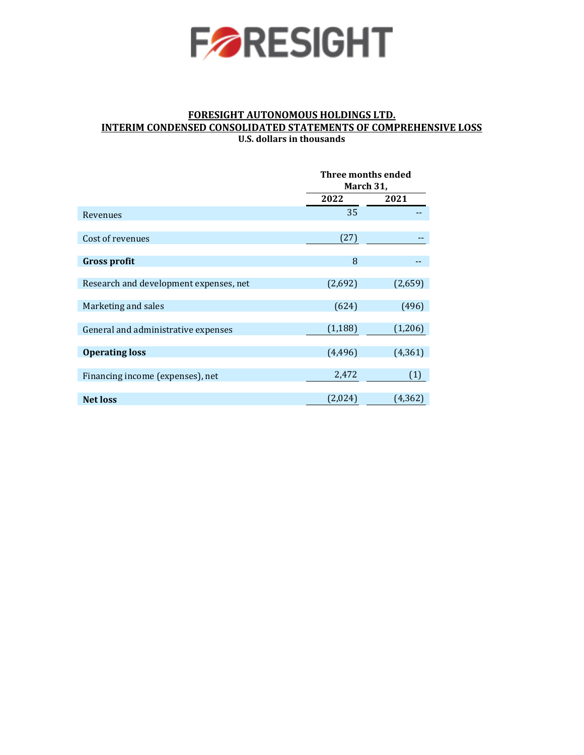

### **FORESIGHT AUTONOMOUS HOLDINGS LTD. INTERIM CONDENSED CONSOLIDATED STATEMENTS OF COMPREHENSIVE LOSS U.S. dollars in thousands**

|                                        | Three months ended<br>March 31, |          |  |
|----------------------------------------|---------------------------------|----------|--|
|                                        | 2022                            | 2021     |  |
| Revenues                               | 35                              |          |  |
| Cost of revenues                       | (27)                            |          |  |
| <b>Gross profit</b>                    | 8                               |          |  |
| Research and development expenses, net | (2,692)                         | (2,659)  |  |
| Marketing and sales                    | (624)                           | (496)    |  |
| General and administrative expenses    | (1, 188)                        | (1,206)  |  |
| <b>Operating loss</b>                  | (4, 496)                        | (4, 361) |  |
| Financing income (expenses), net       | 2,472                           | (1)      |  |
| <b>Net loss</b>                        | (2,024)                         | (4,362)  |  |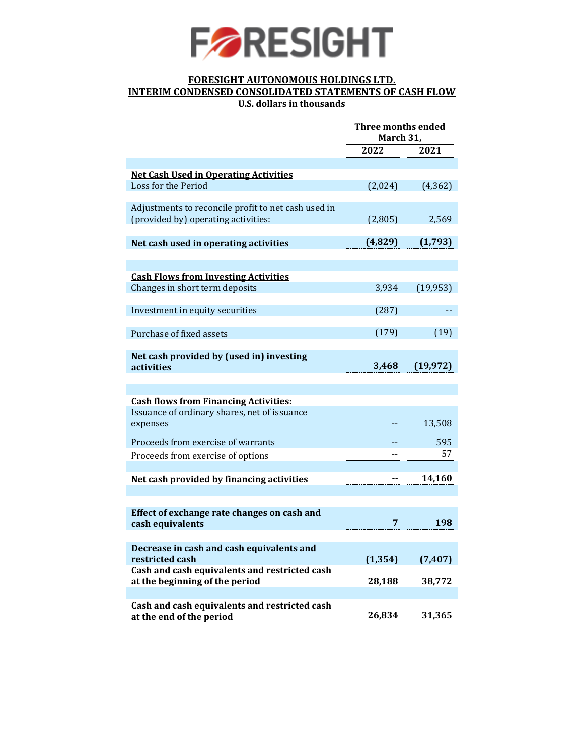

## **FORESIGHT AUTONOMOUS HOLDINGS LTD. INTERIM CONDENSED CONSOLIDATED STATEMENTS OF CASH FLOW**

**U.S. dollars in thousands**

|                                                                           | <b>Three months ended</b><br>March 31, |           |  |
|---------------------------------------------------------------------------|----------------------------------------|-----------|--|
|                                                                           | 2022                                   | 2021      |  |
|                                                                           |                                        |           |  |
| <b>Net Cash Used in Operating Activities</b>                              |                                        |           |  |
| Loss for the Period                                                       | (2,024)                                | (4, 362)  |  |
|                                                                           |                                        |           |  |
| Adjustments to reconcile profit to net cash used in                       |                                        |           |  |
| (provided by) operating activities:                                       | (2,805)                                | 2,569     |  |
|                                                                           | (4,829)                                | (1,793)   |  |
| Net cash used in operating activities                                     |                                        |           |  |
|                                                                           |                                        |           |  |
| <b>Cash Flows from Investing Activities</b>                               |                                        |           |  |
| Changes in short term deposits                                            | 3,934                                  | (19, 953) |  |
|                                                                           |                                        |           |  |
| Investment in equity securities                                           | (287)                                  |           |  |
|                                                                           |                                        |           |  |
| Purchase of fixed assets                                                  | (179)                                  | (19)      |  |
|                                                                           |                                        |           |  |
| Net cash provided by (used in) investing                                  |                                        |           |  |
| activities                                                                | 3,468                                  | (19, 972) |  |
|                                                                           |                                        |           |  |
|                                                                           |                                        |           |  |
| <b>Cash flows from Financing Activities:</b>                              |                                        |           |  |
| Issuance of ordinary shares, net of issuance                              |                                        |           |  |
| expenses                                                                  |                                        | 13,508    |  |
| Proceeds from exercise of warrants                                        |                                        | 595       |  |
| Proceeds from exercise of options                                         |                                        | 57        |  |
|                                                                           |                                        |           |  |
| Net cash provided by financing activities                                 |                                        | 14,160    |  |
|                                                                           |                                        |           |  |
|                                                                           |                                        |           |  |
| Effect of exchange rate changes on cash and                               |                                        |           |  |
| cash equivalents                                                          | 7                                      | 198       |  |
|                                                                           |                                        |           |  |
| Decrease in cash and cash equivalents and                                 |                                        |           |  |
| restricted cash                                                           | (1, 354)                               | (7, 407)  |  |
| Cash and cash equivalents and restricted cash                             |                                        |           |  |
| at the beginning of the period                                            | 28,188                                 | 38,772    |  |
|                                                                           |                                        |           |  |
| Cash and cash equivalents and restricted cash<br>at the end of the period | 26,834                                 | 31,365    |  |
|                                                                           |                                        |           |  |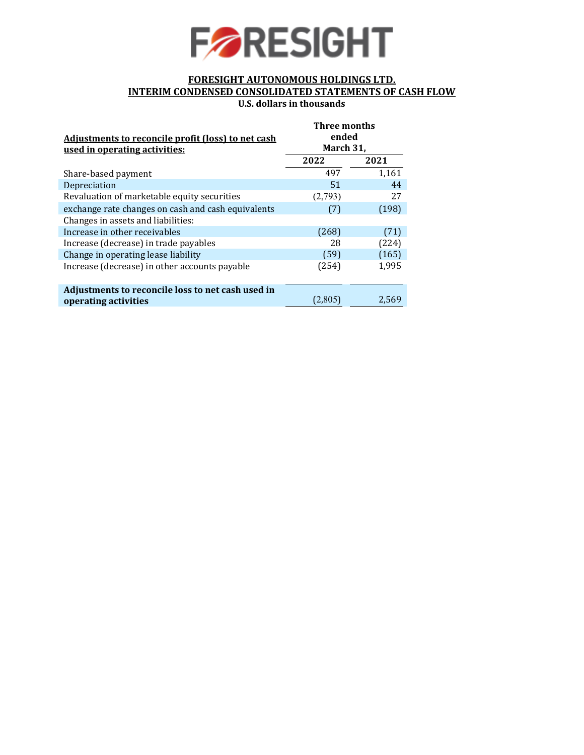

### **FORESIGHT AUTONOMOUS HOLDINGS LTD. INTERIM CONDENSED CONSOLIDATED STATEMENTS OF CASH FLOW U.S. dollars in thousands**

| Adjustments to reconcile profit (loss) to net cash<br>used in operating activities: | <b>Three months</b><br>ended<br>March 31, |       |  |
|-------------------------------------------------------------------------------------|-------------------------------------------|-------|--|
|                                                                                     | 2022                                      | 2021  |  |
| Share-based payment                                                                 | 497                                       | 1.161 |  |
| Depreciation                                                                        | 51                                        | 44    |  |
| Revaluation of marketable equity securities                                         | (2,793)                                   | 27    |  |
| exchange rate changes on cash and cash equivalents                                  | (7)                                       | (198) |  |
| Changes in assets and liabilities:                                                  |                                           |       |  |
| Increase in other receivables                                                       | (268)                                     | (71)  |  |
| Increase (decrease) in trade payables                                               | 28                                        | (224) |  |
| Change in operating lease liability                                                 | (59)                                      | (165) |  |
| Increase (decrease) in other accounts payable                                       | (254)                                     | 1,995 |  |
|                                                                                     |                                           |       |  |
| Adjustments to reconcile loss to net cash used in                                   |                                           |       |  |
| operating activities                                                                | (2,805)                                   | 2,569 |  |